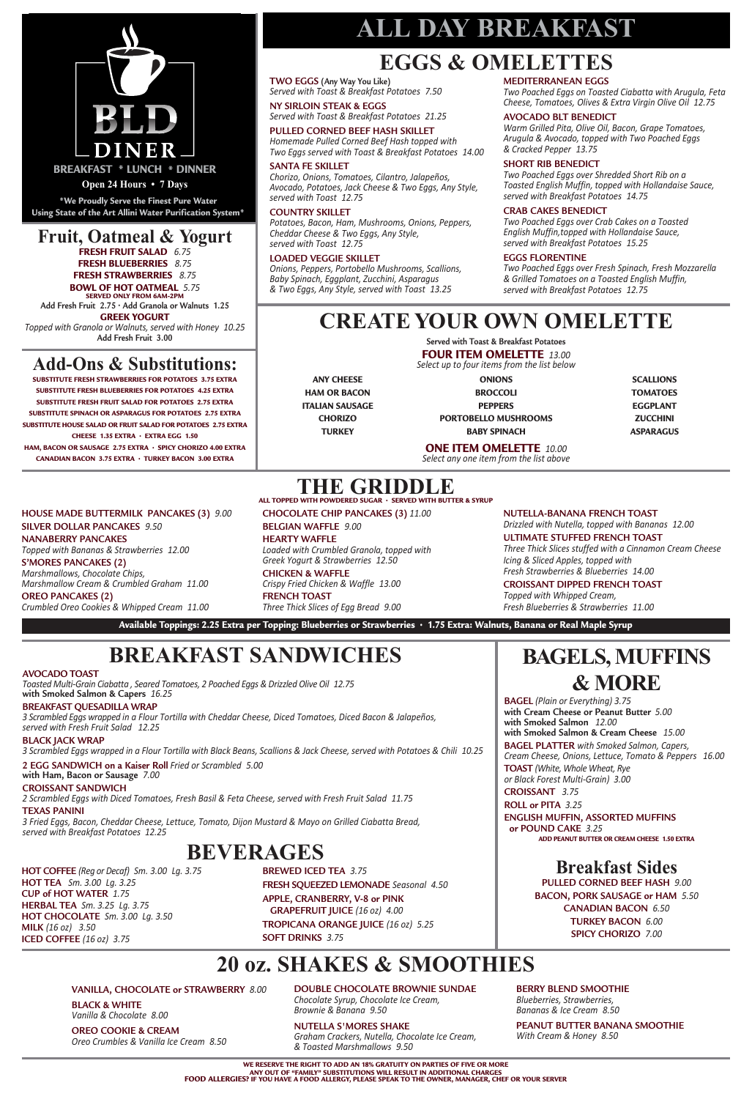### **Fruit, Oatmeal & Yogurt**

**FRESH FRUIT SALAD** *6.75* **FRESH BLUEBERRIES** *8.75*

**FRESH STRAWBERRIES** *8.75* **BOWL OF HOT OATMEAL** *5.75*

#### **SERVED ONLY FROM 6AM-2PM Add Fresh Fruit 2.75 • Add Granola or Walnuts 1.25**

**GREEK YOGURT**

*Topped with Granola or Walnuts, served with Honey 10.25* **Add Fresh Fruit 3.00**

> **BAGELS, MUFFINS & MORE**

**BAGEL** *(Plain or Everything) 3.75* **with Cream Cheese or Peanut Butter** *5.00* **with Smoked Salmon** *12.00* **with Smoked Salmon & Cream Cheese** *15.00* **BAGEL PLATTER** *with Smoked Salmon, Capers, Cream Cheese, Onions, Lettuce, Tomato & Peppers 16.00* **TOAST** *(White, Whole Wheat, Rye or Black Forest Multi-Grain) 3.00* **CROISSANT** *3.75* **ROLL or PITA** *3.25* **ENGLISH MUFFIN, ASSORTED MUFFINS or POUND CAKE** *3.25*

#### **ADD PEANUT BUTTER OR CREAM CHEESE 1.50 EXTRA**

# **BREAKFAST SANDWICHES**

# **ALL DAY BREAKFAST**

### **Breakfast Sides**

**PULLED CORNED BEEF HASH** *9.00* **BACON, PORK SAUSAGE or HAM** *5.50* **CANADIAN BACON** *6.50* **TURKEY BACON** *6.00* **SPICY CHORIZO** *7.00*

# **EGGS & OMELETTES**

**THE GRIDDLE ALL TOPPED WITH POWDERED SUGAR • SERVED WITH BUTTER & SYRUP**

**TWO EGGS (Any Way You Like)** *Served with Toast & Breakfast Potatoes 7.50*

**NY SIRLOIN STEAK & EGGS** *Served with Toast & Breakfast Potatoes 21.25*

#### **PULLED CORNED BEEF HASH SKILLET**

*Homemade Pulled Corned Beef Hash topped with Two Eggs served with Toast & Breakfast Potatoes 14.00*

#### **SANTA FE SKILLET**

*Chorizo, Onions, Tomatoes, Cilantro, Jalapeños, Avocado, Potatoes, Jack Cheese & Two Eggs, Any Style, served with Toast 12.75*

#### **COUNTRY SKILLET**

*Potatoes, Bacon, Ham, Mushrooms, Onions, Peppers, Cheddar Cheese & Two Eggs, Any Style, served with Toast 12.75*

#### **LOADED VEGGIE SKILLET**

*Onions, Peppers, Portobello Mushrooms, Scallions, Baby Spinach, Eggplant, Zucchini, Asparagus & Two Eggs, Any Style, served with Toast 13.25*

**MEDITERRANEAN EGGS** *Two Poached Eggs on Toasted Ciabatta with Arugula, Feta Cheese, Tomatoes, Olives & Extra Virgin Olive Oil 12.75*

#### **AVOCADO BLT BENEDICT**

*Warm Grilled Pita, Olive Oil, Bacon, Grape Tomatoes, Arugula & Avocado, topped with Two Poached Eggs & Cracked Pepper 13.75*

#### **SHORT RIB BENEDICT**

*Two Poached Eggs over Shredded Short Rib on a Toasted English Muffin, topped with Hollandaise Sauce, served with Breakfast Potatoes 14.75*

#### **CRAB CAKES BENEDICT**

*Two Poached Eggs over Crab Cakes on a Toasted English Muffin,topped with Hollandaise Sauce, served with Breakfast Potatoes 15.25*

#### **EGGS FLORENTINE**

*Two Poached Eggs over Fresh Spinach, Fresh Mozzarella & Grilled Tomatoes on a Toasted English Muffin, served with Breakfast Potatoes 12.75*

#### **HOUSE MADE BUTTERMILK PANCAKES (3)** *9.00*

**SILVER DOLLAR PANCAKES** *9.50*

**NANABERRY PANCAKES** *Topped with Bananas & Strawberries 12.00*

**S'MORES PANCAKES (2)** *Marshmallows, Chocolate Chips, Marshmallow Cream & Crumbled Graham 11.00*

**OREO PANCAKES (2)** *Crumbled Oreo Cookies & Whipped Cream 11.00* **CHOCOLATE CHIP PANCAKES (3)** *11.00* **BELGIAN WAFFLE** *9.00*

### **HEARTY WAFFLE**

*Loaded with Crumbled Granola, topped with Greek Yogurt & Strawberries 12.50*

**CHICKEN & WAFFLE** *Crispy Fried Chicken & Waffle 13.00*

**FRENCH TOAST** *Three Thick Slices of Egg Bread 9.00*

#### **NUTELLA-BANANA FRENCH TOAST**

*Drizzled with Nutella, topped with Bananas 12.00*

#### **ULTIMATE STUFFED FRENCH TOAST**

*Three Thick Slices stuffed with a Cinnamon Cream Cheese Icing & Sliced Apples, topped with Fresh Strawberries & Blueberries 14.00*

#### **CROISSANT DIPPED FRENCH TOAST**

*Topped with Whipped Cream, Fresh Blueberries & Strawberries 11.00*

Available Toppings: 2.25 Extra per Topping: Blueberries or Strawberries · 1.75 Extra: Walnuts, Banana or Real Maple Syrup

**HOT COFFEE** *(Reg or Decaf) Sm. 3.00 Lg. 3.75* **HOT TEA** *Sm. 3.00 Lg. 3.25* **CUP of HOT WATER** *1.75* **HERBAL TEA** *Sm. 3.25 Lg. 3.75* **HOT CHOCOLATE** *Sm. 3.00 Lg. 3.50* **MILK** *(16 oz) 3.50* **ICED COFFEE** *(16 oz) 3.75*

**BREWED ICED TEA** *3.75* **FRESH SQUEEZED LEMONADE** *Seasonal 4.50* **APPLE, CRANBERRY, V-8 or PINK GRAPEFRUIT JUICE** *(16 oz) 4.00* **TROPICANA ORANGE JUICE** *(16 oz) 5.25* **SOFT DRINKS** *3.75*

## **BEVERAGES**

#### **AVOCADO TOAST**

*Toasted Multi-Grain Ciabatta , Seared Tomatoes, 2 Poached Eggs & Drizzled Olive Oil 12.75* **with Smoked Salmon & Capers** *16.25*

### **BREAKFAST QUESADILLA WRAP**

3 Scrambled Eggs wrapped in a Flour Tortilla with Cheddar Cheese, Diced Tomatoes, Diced Bacon & Jalapeños,

*served with Fresh Fruit Salad 12.25*

#### **BLACK JACK WRAP**

3 Scrambled Eggs wrapped in a Flour Tortilla with Black Beans, Scallions & Jack Cheese, served with Potatoes & Chili 10.25

**2 EGG SANDWICH on a Kaiser Roll** *Fried or Scrambled 5.00* **with Ham, Bacon or Sausage** *7.00*

#### **CROISSANT SANDWICH**

*2 Scrambled Eggs with Diced Tomatoes, Fresh Basil & Feta Cheese, served with Fresh Fruit Salad 11.75*

#### **TEXAS PANINI**

*3 Fried Eggs, Bacon, Cheddar Cheese, Lettuce, Tomato, Dijon Mustard & Mayo on Grilled Ciabatta Bread, served with Breakfast Potatoes 12.25*

**\*We Proudly Serve the Finest Pure Water Using State of the Art Allini Water Purification System\***



**Open 24 Hours • 7 Days**

# **CREATE YOUR OWN OMELETTE**

**Served with Toast & Breakfast Potatoes**

**FOUR ITEM OMELETTE** *13.00*

*Select up to four items from the list below*

#### **ONE ITEM OMELETTE** *10.00*

*Select any one item from the list above*

**ANY CHEESE HAM OR BACON ITALIAN SAUSAGE CHORIZO TURKEY**

**ONIONS BROCCOLI PEPPERS PORTOBELLO MUSHROOMS BABY SPINACH**

| SCALLIONS        |
|------------------|
| <b>TOMATOES</b>  |
| EGGPLANT         |
| ZUCCHINI         |
| <b>ASPARAGUS</b> |

# **20 oz. SHAKES & SMOOTHIES**

#### **VANILLA, CHOCOLATE or STRAWBERRY** *8.00*

#### **BLACK & WHITE**

*Vanilla & Chocolate 8.00*

#### **OREO COOKIE & CREAM**

*Oreo Crumbles & Vanilla Ice Cream 8.50*

**DOUBLE CHOCOLATE BROWNIE SUNDAE** *Chocolate Syrup, Chocolate Ice Cream, Brownie & Banana 9.50*

**NUTELLA S'MORES SHAKE** *Graham Crackers, Nutella, Chocolate Ice Cream, & Toasted Marshmallows 9.50*

#### **BERRY BLEND SMOOTHIE**

*Blueberries, Strawberries, Bananas & Ice Cream 8.50*

#### **PEANUT BUTTER BANANA SMOOTHIE**

*With Cream & Honey 8.50*

## **Add-Ons & Substitutions:**

**SUBSTITUTE FRESH STRAWBERRIES FOR POTATOES 3.75 EXTRA SUBSTITUTE FRESH BLUEBERRIES FOR POTATOES 4.25 EXTRA SUBSTITUTE FRESH FRUIT SALAD FOR POTATOES 2.75 EXTRA SUBSTITUTE SPINACH OR ASPARAGUS FOR POTATOES 2.75 EXTRA SUBSTITUTE HOUSE SALAD OR FRUIT SALAD FOR POTATOES 2.75 EXTRA CHEESE 1.35 EXTRA • EXTRA EGG 1.50 HAM, BACON OR SAUSAGE 2.75 EXTRA • SPICY CHORIZO 4.00 EXTRA CANADIAN BACON 3.75 EXTRA • TURKEY BACON 3.00 EXTRA**